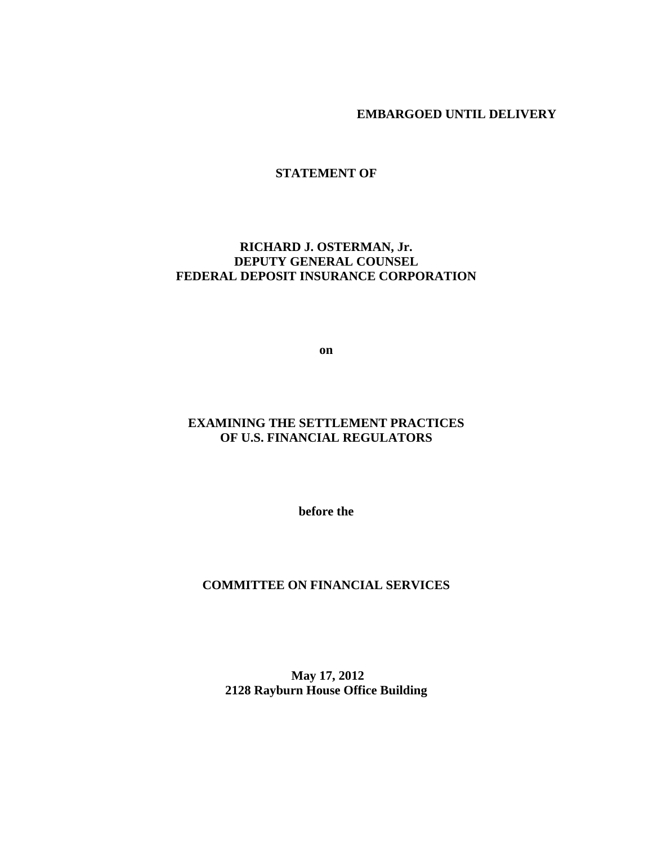**EMBARGOED UNTIL DELIVERY** 

**STATEMENT OF** 

# **RICHARD J. OSTERMAN, Jr. DEPUTY GENERAL COUNSEL FEDERAL DEPOSIT INSURANCE CORPORATION**

**on** 

# **EXAMINING THE SETTLEMENT PRACTICES OF U.S. FINANCIAL REGULATORS**

**before the** 

# **COMMITTEE ON FINANCIAL SERVICES**

 **May 17, 2012 2128 Rayburn House Office Building**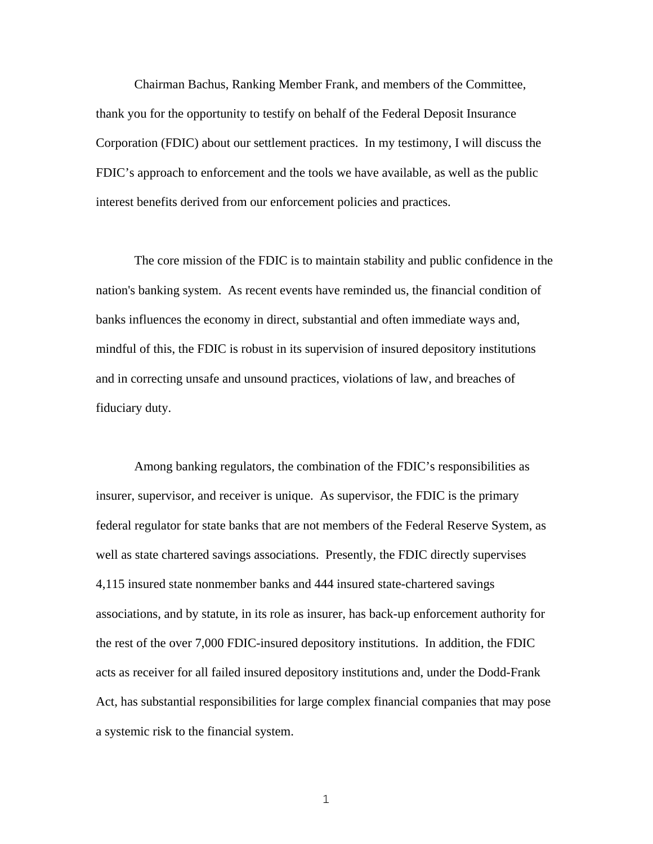Chairman Bachus, Ranking Member Frank, and members of the Committee, thank you for the opportunity to testify on behalf of the Federal Deposit Insurance Corporation (FDIC) about our settlement practices. In my testimony, I will discuss the FDIC's approach to enforcement and the tools we have available, as well as the public interest benefits derived from our enforcement policies and practices.

 The core mission of the FDIC is to maintain stability and public confidence in the nation's banking system. As recent events have reminded us, the financial condition of banks influences the economy in direct, substantial and often immediate ways and, mindful of this, the FDIC is robust in its supervision of insured depository institutions and in correcting unsafe and unsound practices, violations of law, and breaches of fiduciary duty.

 Among banking regulators, the combination of the FDIC's responsibilities as insurer, supervisor, and receiver is unique. As supervisor, the FDIC is the primary federal regulator for state banks that are not members of the Federal Reserve System, as well as state chartered savings associations. Presently, the FDIC directly supervises 4,115 insured state nonmember banks and 444 insured state-chartered savings associations, and by statute, in its role as insurer, has back-up enforcement authority for the rest of the over 7,000 FDIC-insured depository institutions. In addition, the FDIC acts as receiver for all failed insured depository institutions and, under the Dodd-Frank Act, has substantial responsibilities for large complex financial companies that may pose a systemic risk to the financial system.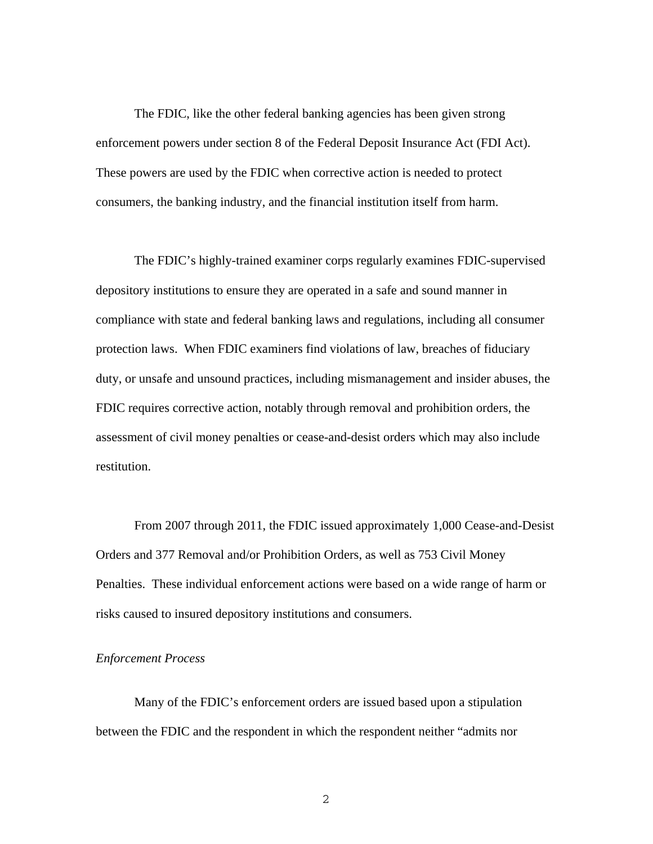The FDIC, like the other federal banking agencies has been given strong enforcement powers under section 8 of the Federal Deposit Insurance Act (FDI Act). These powers are used by the FDIC when corrective action is needed to protect consumers, the banking industry, and the financial institution itself from harm.

 The FDIC's highly-trained examiner corps regularly examines FDIC-supervised depository institutions to ensure they are operated in a safe and sound manner in compliance with state and federal banking laws and regulations, including all consumer protection laws. When FDIC examiners find violations of law, breaches of fiduciary duty, or unsafe and unsound practices, including mismanagement and insider abuses, the FDIC requires corrective action, notably through removal and prohibition orders, the assessment of civil money penalties or cease-and-desist orders which may also include restitution.

 From 2007 through 2011, the FDIC issued approximately 1,000 Cease-and-Desist Orders and 377 Removal and/or Prohibition Orders, as well as 753 Civil Money Penalties. These individual enforcement actions were based on a wide range of harm or risks caused to insured depository institutions and consumers.

## *Enforcement Process*

 Many of the FDIC's enforcement orders are issued based upon a stipulation between the FDIC and the respondent in which the respondent neither "admits nor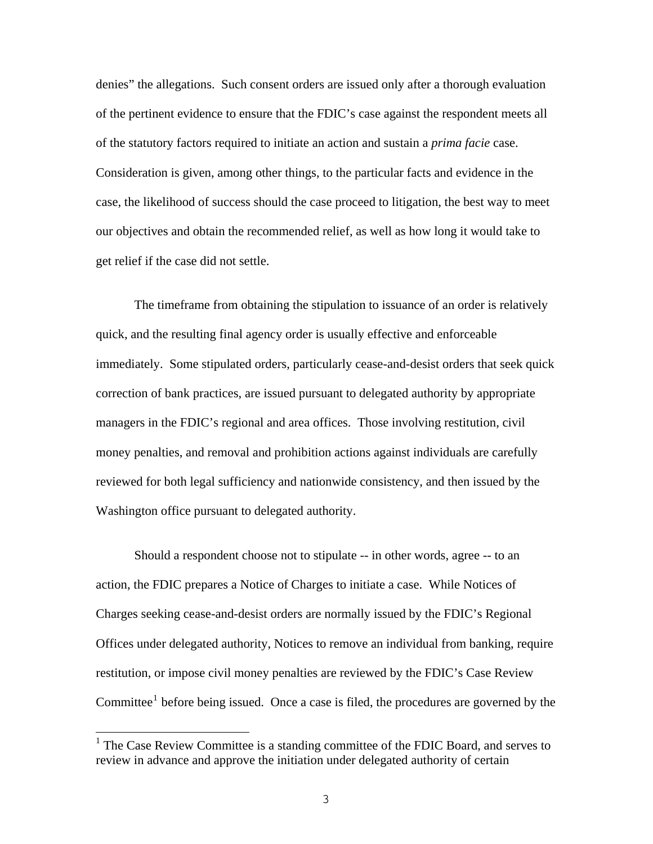denies" the allegations. Such consent orders are issued only after a thorough evaluation of the pertinent evidence to ensure that the FDIC's case against the respondent meets all of the statutory factors required to initiate an action and sustain a *prima facie* case. Consideration is given, among other things, to the particular facts and evidence in the case, the likelihood of success should the case proceed to litigation, the best way to meet our objectives and obtain the recommended relief, as well as how long it would take to get relief if the case did not settle.

 The timeframe from obtaining the stipulation to issuance of an order is relatively quick, and the resulting final agency order is usually effective and enforceable immediately. Some stipulated orders, particularly cease-and-desist orders that seek quick correction of bank practices, are issued pursuant to delegated authority by appropriate managers in the FDIC's regional and area offices. Those involving restitution, civil money penalties, and removal and prohibition actions against individuals are carefully reviewed for both legal sufficiency and nationwide consistency, and then issued by the Washington office pursuant to delegated authority.

 Should a respondent choose not to stipulate -- in other words, agree -- to an action, the FDIC prepares a Notice of Charges to initiate a case. While Notices of Charges seeking cease-and-desist orders are normally issued by the FDIC's Regional Offices under delegated authority, Notices to remove an individual from banking, require restitution, or impose civil money penalties are reviewed by the FDIC's Case Review Committee $<sup>1</sup>$  $<sup>1</sup>$  $<sup>1</sup>$  before being issued. Once a case is filed, the procedures are governed by the</sup>

<span id="page-3-0"></span><sup>&</sup>lt;sup>1</sup> The Case Review Committee is a standing committee of the FDIC Board, and serves to review in advance and approve the initiation under delegated authority of certain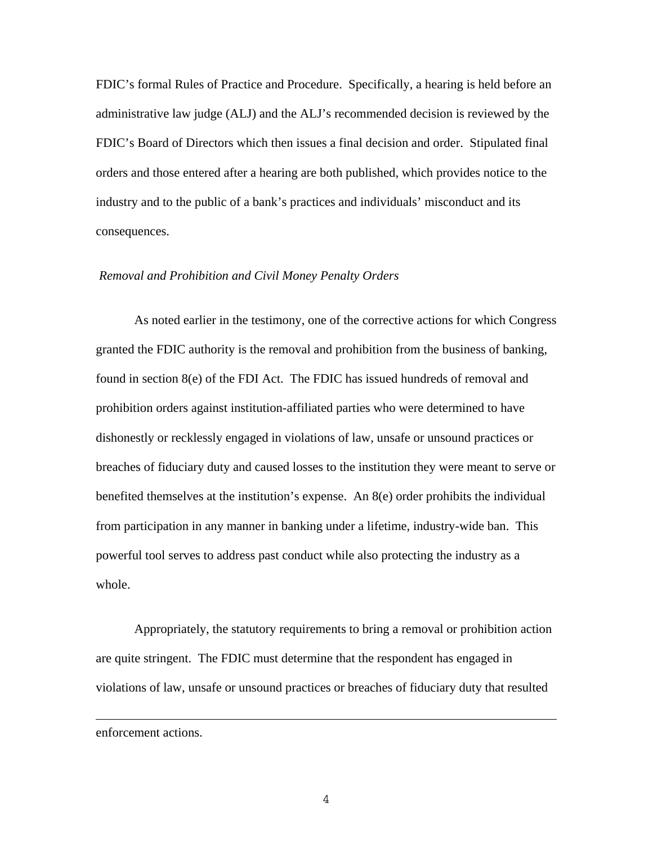FDIC's formal Rules of Practice and Procedure. Specifically, a hearing is held before an administrative law judge (ALJ) and the ALJ's recommended decision is reviewed by the FDIC's Board of Directors which then issues a final decision and order. Stipulated final orders and those entered after a hearing are both published, which provides notice to the industry and to the public of a bank's practices and individuals' misconduct and its consequences.

### *Removal and Prohibition and Civil Money Penalty Orders*

 As noted earlier in the testimony, one of the corrective actions for which Congress granted the FDIC authority is the removal and prohibition from the business of banking, found in section 8(e) of the FDI Act. The FDIC has issued hundreds of removal and prohibition orders against institution-affiliated parties who were determined to have dishonestly or recklessly engaged in violations of law, unsafe or unsound practices or breaches of fiduciary duty and caused losses to the institution they were meant to serve or benefited themselves at the institution's expense. An 8(e) order prohibits the individual from participation in any manner in banking under a lifetime, industry-wide ban. This powerful tool serves to address past conduct while also protecting the industry as a whole.

 Appropriately, the statutory requirements to bring a removal or prohibition action are quite stringent. The FDIC must determine that the respondent has engaged in violations of law, unsafe or unsound practices or breaches of fiduciary duty that resulted

enforcement actions.

 $\overline{\phantom{0}}$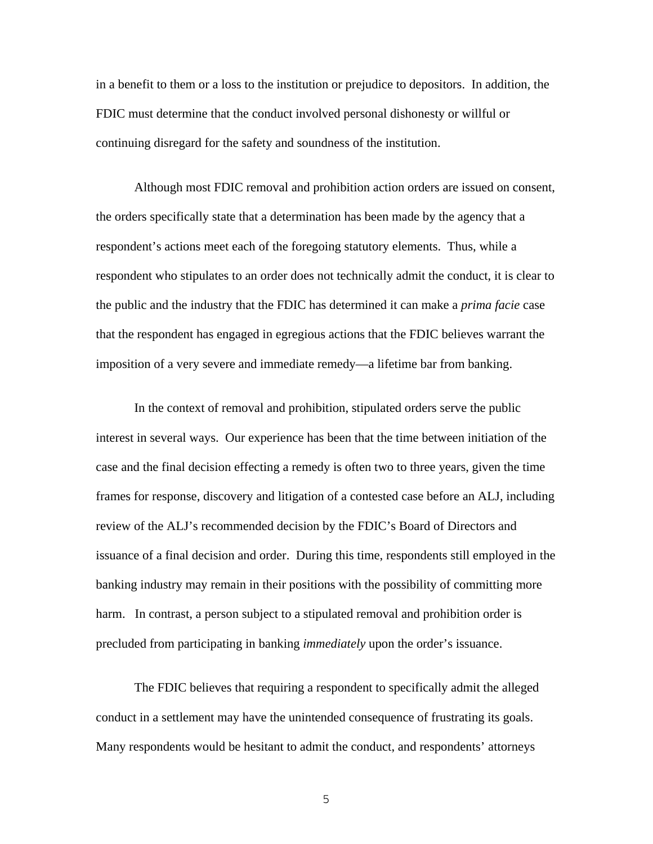in a benefit to them or a loss to the institution or prejudice to depositors. In addition, the FDIC must determine that the conduct involved personal dishonesty or willful or continuing disregard for the safety and soundness of the institution.

 Although most FDIC removal and prohibition action orders are issued on consent, the orders specifically state that a determination has been made by the agency that a respondent's actions meet each of the foregoing statutory elements. Thus, while a respondent who stipulates to an order does not technically admit the conduct, it is clear to the public and the industry that the FDIC has determined it can make a *prima facie* case that the respondent has engaged in egregious actions that the FDIC believes warrant the imposition of a very severe and immediate remedy—a lifetime bar from banking.

 In the context of removal and prohibition, stipulated orders serve the public interest in several ways. Our experience has been that the time between initiation of the case and the final decision effecting a remedy is often two to three years, given the time frames for response, discovery and litigation of a contested case before an ALJ, including review of the ALJ's recommended decision by the FDIC's Board of Directors and issuance of a final decision and order. During this time, respondents still employed in the banking industry may remain in their positions with the possibility of committing more harm. In contrast, a person subject to a stipulated removal and prohibition order is precluded from participating in banking *immediately* upon the order's issuance.

 The FDIC believes that requiring a respondent to specifically admit the alleged conduct in a settlement may have the unintended consequence of frustrating its goals. Many respondents would be hesitant to admit the conduct, and respondents' attorneys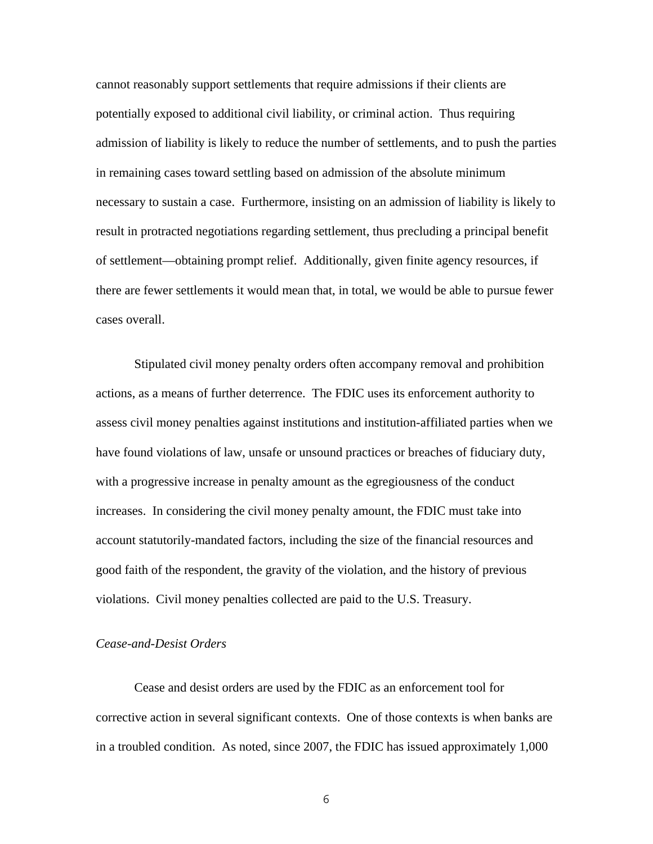cannot reasonably support settlements that require admissions if their clients are potentially exposed to additional civil liability, or criminal action. Thus requiring admission of liability is likely to reduce the number of settlements, and to push the parties in remaining cases toward settling based on admission of the absolute minimum necessary to sustain a case. Furthermore, insisting on an admission of liability is likely to result in protracted negotiations regarding settlement, thus precluding a principal benefit of settlement—obtaining prompt relief. Additionally, given finite agency resources, if there are fewer settlements it would mean that, in total, we would be able to pursue fewer cases overall.

 Stipulated civil money penalty orders often accompany removal and prohibition actions, as a means of further deterrence. The FDIC uses its enforcement authority to assess civil money penalties against institutions and institution-affiliated parties when we have found violations of law, unsafe or unsound practices or breaches of fiduciary duty, with a progressive increase in penalty amount as the egregiousness of the conduct increases. In considering the civil money penalty amount, the FDIC must take into account statutorily-mandated factors, including the size of the financial resources and good faith of the respondent, the gravity of the violation, and the history of previous violations. Civil money penalties collected are paid to the U.S. Treasury.

## *Cease-and-Desist Orders*

 Cease and desist orders are used by the FDIC as an enforcement tool for corrective action in several significant contexts. One of those contexts is when banks are in a troubled condition. As noted, since 2007, the FDIC has issued approximately 1,000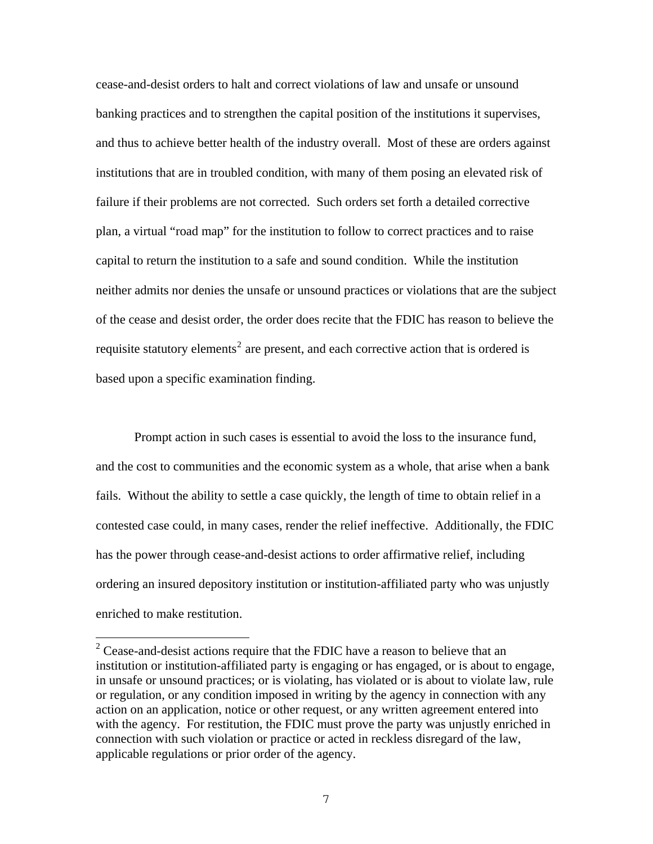cease-and-desist orders to halt and correct violations of law and unsafe or unsound banking practices and to strengthen the capital position of the institutions it supervises, and thus to achieve better health of the industry overall. Most of these are orders against institutions that are in troubled condition, with many of them posing an elevated risk of failure if their problems are not corrected. Such orders set forth a detailed corrective plan, a virtual "road map" for the institution to follow to correct practices and to raise capital to return the institution to a safe and sound condition. While the institution neither admits nor denies the unsafe or unsound practices or violations that are the subject of the cease and desist order, the order does recite that the FDIC has reason to believe the requisite statutory elements<sup>[2](#page-7-0)</sup> are present, and each corrective action that is ordered is based upon a specific examination finding.

 Prompt action in such cases is essential to avoid the loss to the insurance fund, and the cost to communities and the economic system as a whole, that arise when a bank fails. Without the ability to settle a case quickly, the length of time to obtain relief in a contested case could, in many cases, render the relief ineffective. Additionally, the FDIC has the power through cease-and-desist actions to order affirmative relief, including ordering an insured depository institution or institution-affiliated party who was unjustly enriched to make restitution.

<span id="page-7-0"></span><sup>&</sup>lt;sup>2</sup> Cease-and-desist actions require that the FDIC have a reason to believe that an institution or institution-affiliated party is engaging or has engaged, or is about to engage, in unsafe or unsound practices; or is violating, has violated or is about to violate law, rule or regulation, or any condition imposed in writing by the agency in connection with any action on an application, notice or other request, or any written agreement entered into with the agency. For restitution, the FDIC must prove the party was unjustly enriched in connection with such violation or practice or acted in reckless disregard of the law, applicable regulations or prior order of the agency.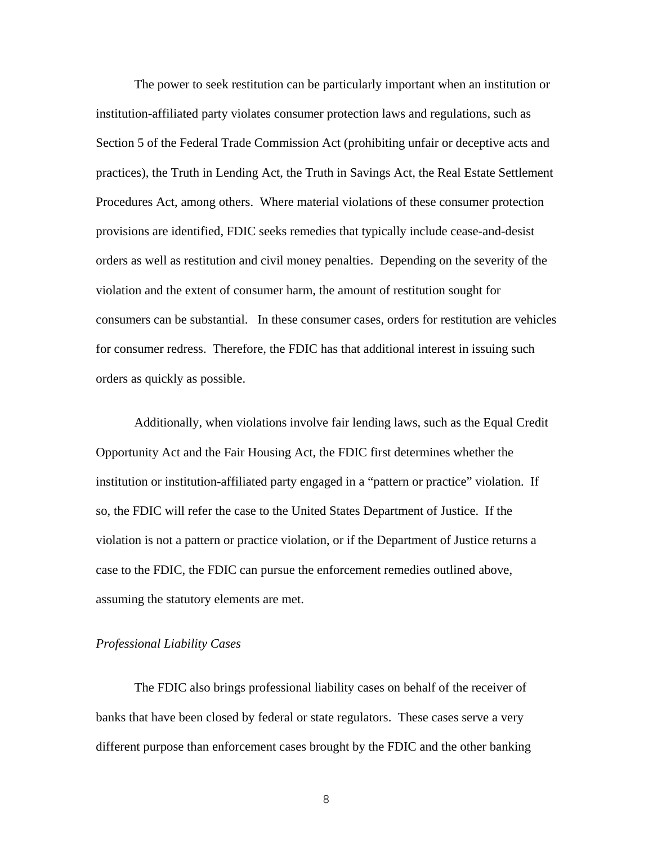The power to seek restitution can be particularly important when an institution or institution-affiliated party violates consumer protection laws and regulations, such as Section 5 of the Federal Trade Commission Act (prohibiting unfair or deceptive acts and practices), the Truth in Lending Act, the Truth in Savings Act, the Real Estate Settlement Procedures Act, among others. Where material violations of these consumer protection provisions are identified, FDIC seeks remedies that typically include cease-and-desist orders as well as restitution and civil money penalties. Depending on the severity of the violation and the extent of consumer harm, the amount of restitution sought for consumers can be substantial. In these consumer cases, orders for restitution are vehicles for consumer redress. Therefore, the FDIC has that additional interest in issuing such orders as quickly as possible.

 Additionally, when violations involve fair lending laws, such as the Equal Credit Opportunity Act and the Fair Housing Act, the FDIC first determines whether the institution or institution-affiliated party engaged in a "pattern or practice" violation. If so, the FDIC will refer the case to the United States Department of Justice. If the violation is not a pattern or practice violation, or if the Department of Justice returns a case to the FDIC, the FDIC can pursue the enforcement remedies outlined above, assuming the statutory elements are met.

## *Professional Liability Cases*

 The FDIC also brings professional liability cases on behalf of the receiver of banks that have been closed by federal or state regulators. These cases serve a very different purpose than enforcement cases brought by the FDIC and the other banking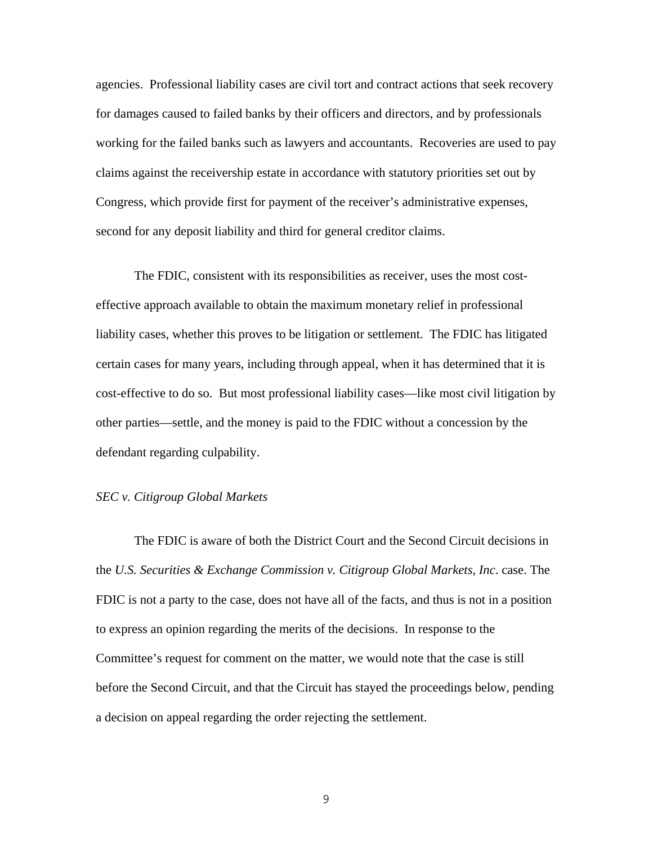agencies. Professional liability cases are civil tort and contract actions that seek recovery for damages caused to failed banks by their officers and directors, and by professionals working for the failed banks such as lawyers and accountants. Recoveries are used to pay claims against the receivership estate in accordance with statutory priorities set out by Congress, which provide first for payment of the receiver's administrative expenses, second for any deposit liability and third for general creditor claims.

 The FDIC, consistent with its responsibilities as receiver, uses the most costeffective approach available to obtain the maximum monetary relief in professional liability cases, whether this proves to be litigation or settlement. The FDIC has litigated certain cases for many years, including through appeal, when it has determined that it is cost-effective to do so. But most professional liability cases—like most civil litigation by other parties—settle, and the money is paid to the FDIC without a concession by the defendant regarding culpability.

## *SEC v. Citigroup Global Markets*

 The FDIC is aware of both the District Court and the Second Circuit decisions in the *U.S. Securities & Exchange Commission v. Citigroup Global Markets, Inc*. case. The FDIC is not a party to the case, does not have all of the facts, and thus is not in a position to express an opinion regarding the merits of the decisions. In response to the Committee's request for comment on the matter, we would note that the case is still before the Second Circuit, and that the Circuit has stayed the proceedings below, pending a decision on appeal regarding the order rejecting the settlement.